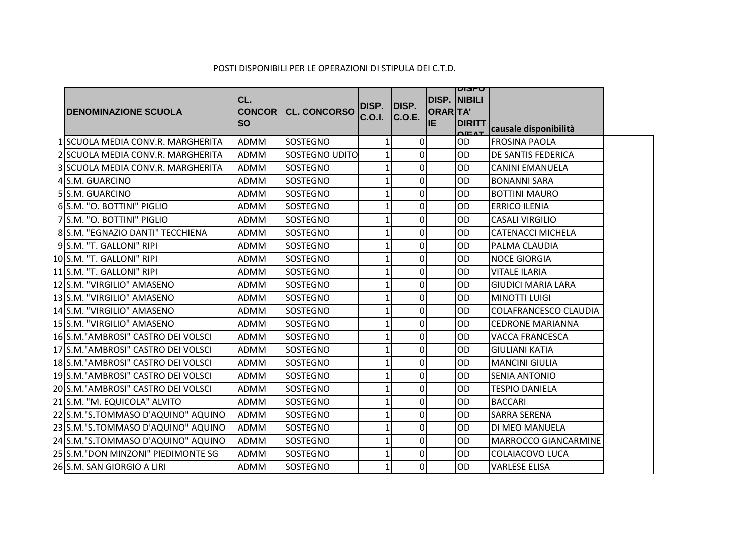| <b>DENOMINAZIONE SCUOLA</b>        | CL.<br><b>ISO</b> | <b>CONCOR CL. CONCORSO</b> | DISP.<br><b>C.O.I.</b> | DISP.<br>C.O.E. | idisp. Inibili<br>ORARTA'<br>lie. | טיסוען<br><b>DIRITT</b><br>Q/EMT | causale disponibilità        |  |
|------------------------------------|-------------------|----------------------------|------------------------|-----------------|-----------------------------------|----------------------------------|------------------------------|--|
| 1 SCUOLA MEDIA CONV.R. MARGHERITA  | ADMM              | <b>SOSTEGNO</b>            | 1                      | $\overline{0}$  |                                   | <b>OD</b>                        | <b>FROSINA PAOLA</b>         |  |
| 2 SCUOLA MEDIA CONV.R. MARGHERITA  | ADMM              | SOSTEGNO UDITO             |                        | $\Omega$        |                                   | <b>OD</b>                        | <b>DE SANTIS FEDERICA</b>    |  |
| 3 SCUOLA MEDIA CONV.R. MARGHERITA  | ADMM              | SOSTEGNO                   |                        | $\overline{0}$  |                                   | <b>OD</b>                        | <b>CANINI EMANUELA</b>       |  |
| 4 S.M. GUARCINO                    | <b>ADMM</b>       | <b>SOSTEGNO</b>            |                        | $\Omega$        |                                   | <b>OD</b>                        | <b>BONANNI SARA</b>          |  |
| 5 S.M. GUARCINO                    | ADMM              | SOSTEGNO                   |                        | $\overline{0}$  |                                   | OD                               | <b>BOTTINI MAURO</b>         |  |
| 6 S.M. "O. BOTTINI" PIGLIO         | <b>ADMM</b>       | SOSTEGNO                   |                        | $\overline{0}$  |                                   | OD                               | <b>ERRICO ILENIA</b>         |  |
| 7 S.M. "O. BOTTINI" PIGLIO         | ADMM              | SOSTEGNO                   |                        | $\overline{0}$  |                                   | <b>OD</b>                        | <b>CASALI VIRGILIO</b>       |  |
| 8 S.M. "EGNAZIO DANTI" TECCHIENA   | <b>ADMM</b>       | SOSTEGNO                   | 1                      | $\overline{0}$  |                                   | OD                               | <b>CATENACCI MICHELA</b>     |  |
| 9 S.M. "T. GALLONI" RIPI           | ADMM              | SOSTEGNO                   | 1                      | $\overline{0}$  |                                   | <b>OD</b>                        | PALMA CLAUDIA                |  |
| 10S.M. "T. GALLONI" RIPI           | <b>ADMM</b>       | SOSTEGNO                   | 1                      | $\overline{0}$  |                                   | OD                               | <b>NOCE GIORGIA</b>          |  |
| 11 S.M. "T. GALLONI" RIPI          | ADMM              | SOSTEGNO                   | 1                      | $\overline{0}$  |                                   | <b>OD</b>                        | <b>VITALE ILARIA</b>         |  |
| 12 S.M. "VIRGILIO" AMASENO         | <b>ADMM</b>       | <b>SOSTEGNO</b>            | 1                      | $\overline{0}$  |                                   | OD                               | <b>GIUDICI MARIA LARA</b>    |  |
| 13 S.M. "VIRGILIO" AMASENO         | <b>ADMM</b>       | SOSTEGNO                   | 1                      | $\Omega$        |                                   | <b>OD</b>                        | <b>MINOTTI LUIGI</b>         |  |
| 14 S.M. "VIRGILIO" AMASENO         | <b>ADMM</b>       | <b>SOSTEGNO</b>            | 1                      | $\overline{0}$  |                                   | <b>OD</b>                        | <b>COLAFRANCESCO CLAUDIA</b> |  |
| 15 S.M. "VIRGILIO" AMASENO         | <b>ADMM</b>       | SOSTEGNO                   | 1                      | $\overline{0}$  |                                   | OD                               | <b>CEDRONE MARIANNA</b>      |  |
| 16S.M."AMBROSI" CASTRO DEI VOLSCI  | <b>ADMM</b>       | <b>SOSTEGNO</b>            | 1                      | $\Omega$        |                                   | <b>OD</b>                        | <b>VACCA FRANCESCA</b>       |  |
| 17 S.M."AMBROSI" CASTRO DEI VOLSCI | ADMM              | SOSTEGNO                   |                        | $\Omega$        |                                   | OD                               | <b>GIULIANI KATIA</b>        |  |
| 18 S.M."AMBROSI" CASTRO DEI VOLSCI | <b>ADMM</b>       | <b>SOSTEGNO</b>            |                        | $\Omega$        |                                   | <b>OD</b>                        | <b>MANCINI GIULIA</b>        |  |
| 19 S.M."AMBROSI" CASTRO DEI VOLSCI | <b>ADMM</b>       | SOSTEGNO                   | 1                      | $\Omega$        |                                   | <b>OD</b>                        | <b>SENIA ANTONIO</b>         |  |
| 20 S.M."AMBROSI" CASTRO DEI VOLSCI | <b>ADMM</b>       | <b>SOSTEGNO</b>            | 1                      | $\overline{0}$  |                                   | <b>OD</b>                        | <b>TESPIO DANIELA</b>        |  |
| 21 S.M. "M. EQUICOLA" ALVITO       | ADMM              | SOSTEGNO                   | 1                      | $\Omega$        |                                   | <b>OD</b>                        | <b>BACCARI</b>               |  |
| 22 S.M."S.TOMMASO D'AQUINO" AQUINO | <b>ADMM</b>       | <b>SOSTEGNO</b>            |                        | $\overline{0}$  |                                   | OD                               | <b>SARRA SERENA</b>          |  |
| 23 S.M."S.TOMMASO D'AQUINO" AQUINO | ADMM              | SOSTEGNO                   | 1                      | $\overline{0}$  |                                   | <b>OD</b>                        | DI MEO MANUELA               |  |
| 24 S.M."S.TOMMASO D'AQUINO" AQUINO | <b>ADMM</b>       | <b>SOSTEGNO</b>            | $\mathbf{1}$           | $\overline{0}$  |                                   | OD                               | <b>MARROCCO GIANCARMINE</b>  |  |
| 25 S.M."DON MINZONI" PIEDIMONTE SG | ADMM              | SOSTEGNO                   | 1                      | $\overline{0}$  |                                   | OD                               | COLAIACOVO LUCA              |  |
| 26 S.M. SAN GIORGIO A LIRI         | ADMM              | <b>SOSTEGNO</b>            | $1\vert$               | $\overline{0}$  |                                   | <b>OD</b>                        | <b>VARLESE ELISA</b>         |  |

## POSTI DISPONIBILI PER LE OPERAZIONI DI STIPULA DEI C.T.D.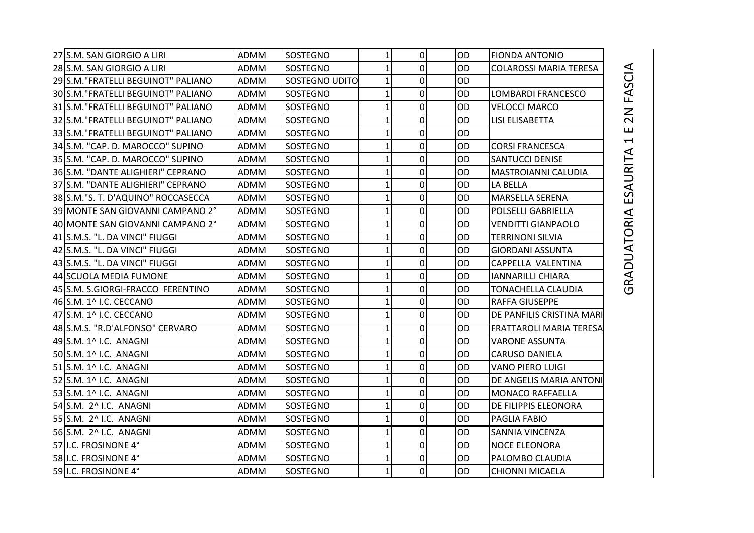| 27 S.M. SAN GIORGIO A LIRI          | ADMM        | SOSTEGNO              | $1\vert$     | $\overline{0}$ | 0D        | <b>FIONDA ANTONIO</b>          |
|-------------------------------------|-------------|-----------------------|--------------|----------------|-----------|--------------------------------|
| 28 S.M. SAN GIORGIO A LIRI          | ADMM        | <b>SOSTEGNO</b>       | 1            | 0              | OD        | <b>COLAROSSI MARIA TERESA</b>  |
| 29 S.M. "FRATELLI BEGUINOT" PALIANO | ADMM        | <b>SOSTEGNO UDITO</b> | 1            | $\mathbf 0$    | <b>OD</b> |                                |
| 30 S.M. "FRATELLI BEGUINOT" PALIANO | ADMM        | SOSTEGNO              | 1            | 0              | <b>OD</b> | LOMBARDI FRANCESCO             |
| 31 S.M. "FRATELLI BEGUINOT" PALIANO | ADMM        | <b>SOSTEGNO</b>       | 1            | 0              | <b>OD</b> | <b>VELOCCI MARCO</b>           |
| 32 S.M. "FRATELLI BEGUINOT" PALIANO | <b>ADMM</b> | SOSTEGNO              | 1            | $\mathbf 0$    | OD        | LISI ELISABETTA                |
| 33 S.M. "FRATELLI BEGUINOT" PALIANO | ADMM        | <b>SOSTEGNO</b>       | 1            | 0              | OD        |                                |
| 34 S.M. "CAP. D. MAROCCO" SUPINO    | <b>ADMM</b> | SOSTEGNO              |              | $\pmb{0}$      | OD        | <b>CORSI FRANCESCA</b>         |
| 35 S.M. "CAP. D. MAROCCO" SUPINO    | ADMM        | <b>SOSTEGNO</b>       | 1            | 0              | OD        | <b>SANTUCCI DENISE</b>         |
| 36 S.M. "DANTE ALIGHIERI" CEPRANO   | ADMM        | <b>SOSTEGNO</b>       | 1            | $\mathbf 0$    | OD        | MASTROIANNI CALUDIA            |
| 37 S.M. "DANTE ALIGHIERI" CEPRANO   | ADMM        | SOSTEGNO              | 1            | 0              | OD        | LA BELLA                       |
| 38 S.M."S. T. D'AQUINO" ROCCASECCA  | ADMM        | SOSTEGNO              | 1            | 0              | OD        | MARSELLA SERENA                |
| 39 MONTE SAN GIOVANNI CAMPANO 2°    | <b>ADMM</b> | SOSTEGNO              | 1            | 0              | OD        | POLSELLI GABRIELLA             |
| 40 MONTE SAN GIOVANNI CAMPANO 2°    | ADMM        | <b>SOSTEGNO</b>       | 1            | 0              | OD        | <b>VENDITTI GIANPAOLO</b>      |
| 41 S.M.S. "L. DA VINCI" FIUGGI      | ADMM        | <b>SOSTEGNO</b>       | 1            | $\overline{0}$ | OD        | <b>TERRINONI SILVIA</b>        |
| 42 S.M.S. "L. DA VINCI" FIUGGI      | ADMM        | SOSTEGNO              | 1            | 0              | OD        | <b>GIORDANI ASSUNTA</b>        |
| 43 S.M.S. "L. DA VINCI" FIUGGI      | ADMM        | <b>SOSTEGNO</b>       | 1            | $\mathbf 0$    | OD        | CAPPELLA VALENTINA             |
| 44 SCUOLA MEDIA FUMONE              | ADMM        | SOSTEGNO              | 1            | 0              | OD        | <b>IANNARILLI CHIARA</b>       |
| 45 S.M. S.GIORGI-FRACCO FERENTINO   | <b>ADMM</b> | <b>SOSTEGNO</b>       | 1            | $\mathbf 0$    | OD        | <b>TONACHELLA CLAUDIA</b>      |
| 46 S.M. 1^ I.C. CECCANO             | ADMM        | SOSTEGNO              | 1            | 0              | OD        | <b>RAFFA GIUSEPPE</b>          |
| 47 S.M. 1^ I.C. CECCANO             | ADMM        | <b>SOSTEGNO</b>       | 1            | $\mathbf 0$    | OD        | DE PANFILIS CRISTINA MARI      |
| 48 S.M.S. "R.D'ALFONSO" CERVARO     | ADMM        | <b>SOSTEGNO</b>       |              | 0              | OD        | <b>FRATTAROLI MARIA TERESA</b> |
| 49 S.M. 1^ I.C. ANAGNI              | <b>ADMM</b> | <b>SOSTEGNO</b>       |              | $\mathbf 0$    | OD        | <b>VARONE ASSUNTA</b>          |
| 50 S.M. 1^ I.C. ANAGNI              | ADMM        | <b>SOSTEGNO</b>       | 1            | 0              | OD        | <b>CARUSO DANIELA</b>          |
| 51 S.M. 1^ I.C. ANAGNI              | ADMM        | SOSTEGNO              | 1            | 0              | OD        | <b>VANO PIERO LUIGI</b>        |
| 52 S.M. 1^ I.C. ANAGNI              | ADMM        | <b>SOSTEGNO</b>       | 1            | 0              | OD        | DE ANGELIS MARIA ANTONI        |
| 53 S.M. 1^ I.C. ANAGNI              | <b>ADMM</b> | <b>SOSTEGNO</b>       | 1            | $\pmb{0}$      | OD        | MONACO RAFFAELLA               |
| 54 S.M. 2^ I.C. ANAGNI              | ADMM        | <b>SOSTEGNO</b>       | 1            | 0              | <b>OD</b> | DE FILIPPIS ELEONORA           |
| 55 S.M. 2^ I.C. ANAGNI              | ADMM        | <b>SOSTEGNO</b>       | 1            | 0              | <b>OD</b> | PAGLIA FABIO                   |
| 56 S.M. 2^ I.C. ANAGNI              | <b>ADMM</b> | <b>SOSTEGNO</b>       | 1            | $\mathbf 0$    | OD        | SANNIA VINCENZA                |
| 57 I.C. FROSINONE 4°                | ADMM        | <b>SOSTEGNO</b>       | 1            | 0              | <b>OD</b> | <b>NOCE ELEONORA</b>           |
| 58 I.C. FROSINONE 4°                | ADMM        | SOSTEGNO              | $\mathbf{1}$ | $\mathbf 0$    | OD        | PALOMBO CLAUDIA                |
| 59 I.C. FROSINONE 4°                | ADMM        | <b>SOSTEGNO</b>       | $1\vert$     | $\pmb{0}$      | OD        | <b>CHIONNI MICAELA</b>         |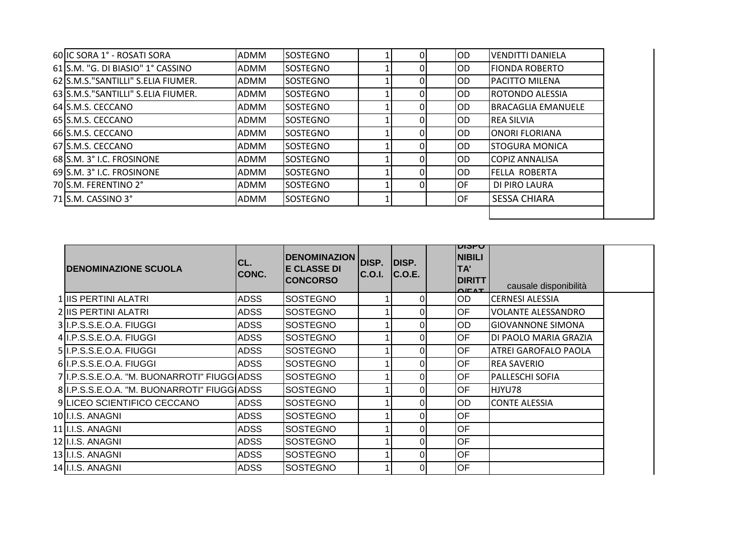| 60 IC SORA 1° - ROSATI SORA         | ADMM        | <b>SOSTEGNO</b> |  | OD.       | <b>VENDITTI DANIELA</b>   |
|-------------------------------------|-------------|-----------------|--|-----------|---------------------------|
| 61 S.M. "G. DI BIASIO" 1° CASSINO   | <b>ADMM</b> | <b>SOSTEGNO</b> |  | IOD.      | <b>FIONDA ROBERTO</b>     |
| 62 S.M.S. "SANTILLI" S.ELIA FIUMER. | <b>ADMM</b> | <b>SOSTEGNO</b> |  | IOD.      | <b>PACITTO MILENA</b>     |
| 63 S.M.S. "SANTILLI" S.ELIA FIUMER. | <b>ADMM</b> | <b>SOSTEGNO</b> |  | IOD.      | ROTONDO ALESSIA           |
| 64 S.M.S. CECCANO                   | <b>ADMM</b> | <b>SOSTEGNO</b> |  | IOD.      | <b>BRACAGLIA EMANUELE</b> |
| 65 S.M.S. CECCANO                   | ADMM        | <b>SOSTEGNO</b> |  | OD.       | <b>REA SILVIA</b>         |
| 66 S.M.S. CECCANO                   | <b>ADMM</b> | <b>SOSTEGNO</b> |  | IOD.      | <b>ONORI FLORIANA</b>     |
| 67 S.M.S. CECCANO                   | <b>ADMM</b> | <b>SOSTEGNO</b> |  | IOD.      | <b>STOGURA MONICA</b>     |
| 68 S.M. 3° I.C. FROSINONE           | ADMM        | <b>SOSTEGNO</b> |  | OD.       | <b>COPIZ ANNALISA</b>     |
| 69 S.M. 3° I.C. FROSINONE           | ADMM        | <b>SOSTEGNO</b> |  | IOD.      | <b>FELLA ROBERTA</b>      |
| 70 S.M. FERENTINO 2°                | <b>ADMM</b> | <b>SOSTEGNO</b> |  | <b>OF</b> | DI PIRO LAURA             |
| 71 S.M. CASSINO 3°                  | <b>ADMM</b> | <b>SOSTEGNO</b> |  | OF        | <b>SESSA CHIARA</b>       |

| <b>IDENOMINAZIONE SCUOLA</b>                 | ICL.<br>CONC. | <b>DENOMINAZION</b><br><b>E CLASSE DI</b><br><b>CONCORSO</b> | DISP.<br><b>C.O.I.</b> | DISP.<br>C.O.E. | טיוסוע<br><b>NIBILI</b><br>TA'<br><b>DIRITT</b><br>$\bigcap$ EAT | causale disponibilità    |  |
|----------------------------------------------|---------------|--------------------------------------------------------------|------------------------|-----------------|------------------------------------------------------------------|--------------------------|--|
| 1/IIS PERTINI ALATRI                         | <b>ADSS</b>   | <b>SOSTEGNO</b>                                              |                        | 0               | OD                                                               | <b>CERNESI ALESSIA</b>   |  |
| 2 IIS PERTINI ALATRI                         | <b>ADSS</b>   | <b>SOSTEGNO</b>                                              |                        | 01              | OF                                                               | VOLANTE ALESSANDRO       |  |
| 3 I.P.S.S.E.O.A. FIUGGI                      | <b>ADSS</b>   | <b>SOSTEGNO</b>                                              |                        | 01              | OD                                                               | <b>GIOVANNONE SIMONA</b> |  |
| 4 I.P.S.S.E.O.A. FIUGGI                      | <b>ADSS</b>   | <b>SOSTEGNO</b>                                              |                        | ΩI              | OF                                                               | DI PAOLO MARIA GRAZIA    |  |
| 5 I.P.S.S.E.O.A. FIUGGI                      | <b>ADSS</b>   | <b>SOSTEGNO</b>                                              |                        | 0               | OF                                                               | ATREI GAROFALO PAOLA     |  |
| 6 I.P.S.S.E.O.A. FIUGGI                      | <b>ADSS</b>   | <b>SOSTEGNO</b>                                              |                        | $\Omega$        | <b>OF</b>                                                        | <b>REA SAVERIO</b>       |  |
| 7 II.P.S.S.E.O.A. "M. BUONARROTI" FIUGGIADSS |               | <b>SOSTEGNO</b>                                              |                        | 01              | OF                                                               | PALLESCHI SOFIA          |  |
| 8 I.P.S.S.E.O.A. "M. BUONARROTI" FIUGGIADSS  |               | <b>SOSTEGNO</b>                                              |                        | 0               | OF                                                               | HJYU78                   |  |
| 9 LICEO SCIENTIFICO CECCANO                  | <b>ADSS</b>   | <b>SOSTEGNO</b>                                              |                        | 01              | OD                                                               | <b>CONTE ALESSIA</b>     |  |
| 10 I.I.S. ANAGNI                             | <b>ADSS</b>   | <b>SOSTEGNO</b>                                              |                        | 01              | <b>OF</b>                                                        |                          |  |
| 11 II.I.S. ANAGNI                            | <b>ADSS</b>   | <b>SOSTEGNO</b>                                              |                        | 01              | <b>OF</b>                                                        |                          |  |
| 12 II.I.S. ANAGNI                            | <b>ADSS</b>   | <b>SOSTEGNO</b>                                              |                        | 01              | OF                                                               |                          |  |
| 13 II.I.S. ANAGNI                            | <b>ADSS</b>   | <b>SOSTEGNO</b>                                              |                        | 01              | OF                                                               |                          |  |
| 14 I.I.S. ANAGNI                             | <b>ADSS</b>   | <b>SOSTEGNO</b>                                              |                        | 01              | OF                                                               |                          |  |